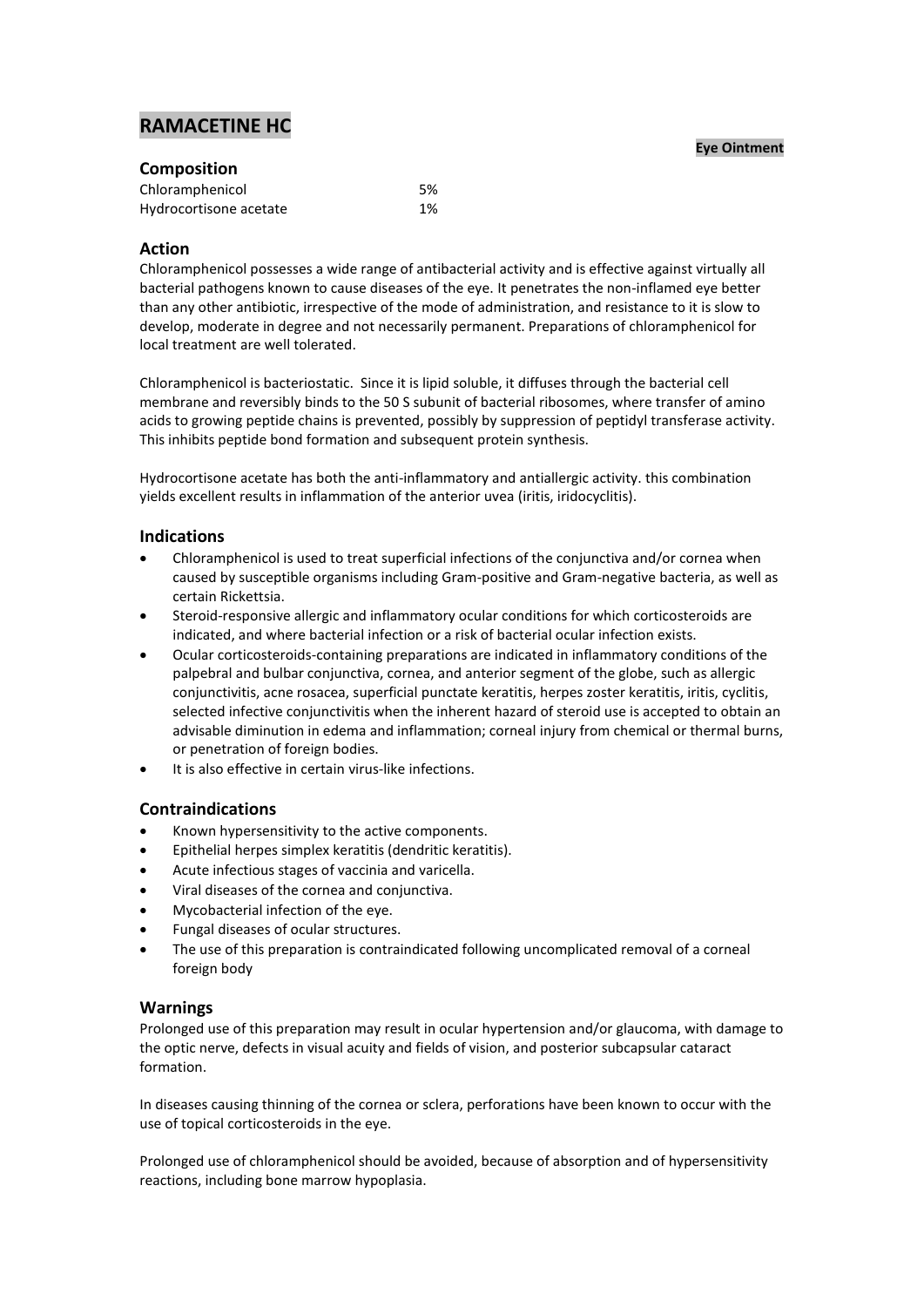# **RAMACETINE HC**

#### **Eye Ointment**

| <b>Composition</b>     |    |
|------------------------|----|
| Chloramphenicol        | 5% |
| Hydrocortisone acetate | 1% |

## **Action**

Chloramphenicol possesses a wide range of antibacterial activity and is effective against virtually all bacterial pathogens known to cause diseases of the eye. It penetrates the non-inflamed eye better than any other antibiotic, irrespective of the mode of administration, and resistance to it is slow to develop, moderate in degree and not necessarily permanent. Preparations of chloramphenicol for local treatment are well tolerated.

Chloramphenicol is bacteriostatic. Since it is lipid soluble, it diffuses through the bacterial cell membrane and reversibly binds to the 50 S subunit of bacterial ribosomes, where transfer of amino acids to growing peptide chains is prevented, possibly by suppression of peptidyl transferase activity. This inhibits peptide bond formation and subsequent protein synthesis.

Hydrocortisone acetate has both the anti-inflammatory and antiallergic activity. this combination yields excellent results in inflammation of the anterior uvea (iritis, iridocyclitis).

## **Indications**

- Chloramphenicol is used to treat superficial infections of the conjunctiva and/or cornea when caused by susceptible organisms including Gram-positive and Gram-negative bacteria, as well as certain Rickettsia.
- Steroid-responsive allergic and inflammatory ocular conditions for which corticosteroids are indicated, and where bacterial infection or a risk of bacterial ocular infection exists.
- Ocular corticosteroids-containing preparations are indicated in inflammatory conditions of the palpebral and bulbar conjunctiva, cornea, and anterior segment of the globe, such as allergic conjunctivitis, acne rosacea, superficial punctate keratitis, herpes zoster keratitis, iritis, cyclitis, selected infective conjunctivitis when the inherent hazard of steroid use is accepted to obtain an advisable diminution in edema and inflammation; corneal injury from chemical or thermal burns, or penetration of foreign bodies.
- It is also effective in certain virus-like infections.

# **Contraindications**

- Known hypersensitivity to the active components.
- Epithelial herpes simplex keratitis (dendritic keratitis).
- Acute infectious stages of vaccinia and varicella.
- Viral diseases of the cornea and conjunctiva.
- Mycobacterial infection of the eye.
- Fungal diseases of ocular structures.
- The use of this preparation is contraindicated following uncomplicated removal of a corneal foreign body

## **Warnings**

Prolonged use of this preparation may result in ocular hypertension and/or glaucoma, with damage to the optic nerve, defects in visual acuity and fields of vision, and posterior subcapsular cataract formation.

In diseases causing thinning of the cornea or sclera, perforations have been known to occur with the use of topical corticosteroids in the eye.

Prolonged use of chloramphenicol should be avoided, because of absorption and of hypersensitivity reactions, including bone marrow hypoplasia.